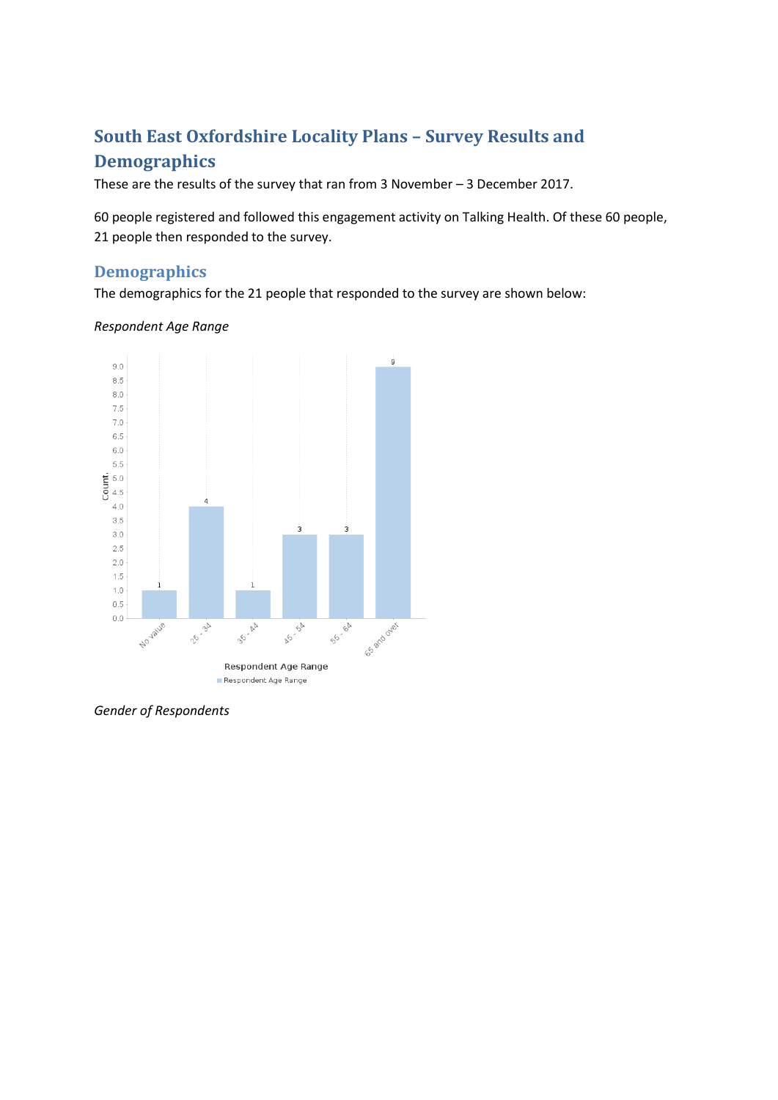# **South East Oxfordshire Locality Plans – Survey Results and Demographics**

These are the results of the survey that ran from 3 November – 3 December 2017.

60 people registered and followed this engagement activity on Talking Health. Of these 60 people, 21 people then responded to the survey.

# **Demographics**

The demographics for the 21 people that responded to the survey are shown below:

### *Respondent Age Range*



*Gender of Respondents*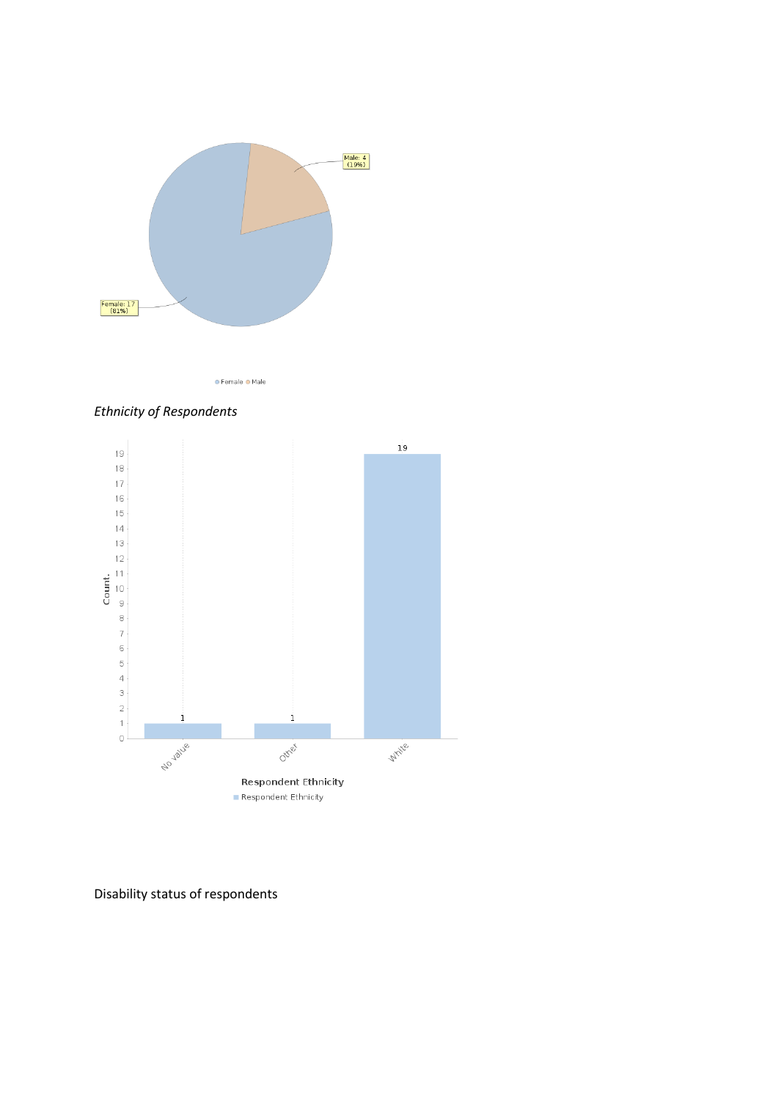

● Female ● Male





Disability status of respondents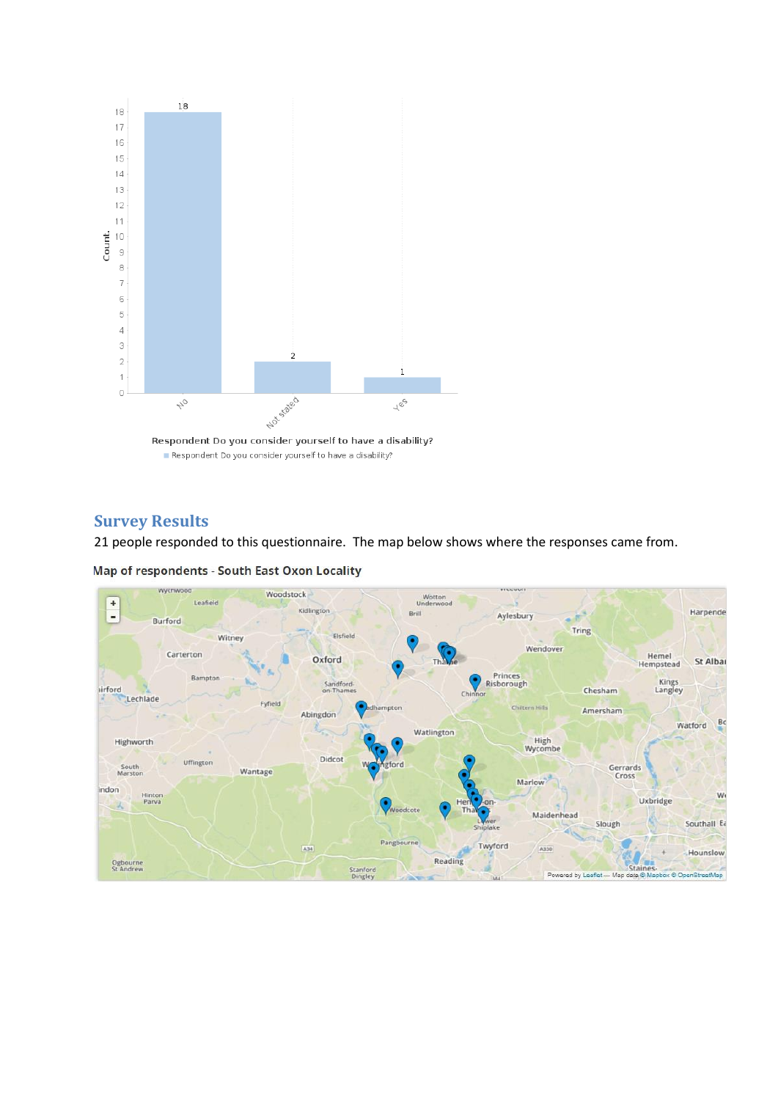

## **Survey Results**

21 people responded to this questionnaire. The map below shows where the responses came from.

Map of respondents - South East Oxon Locality

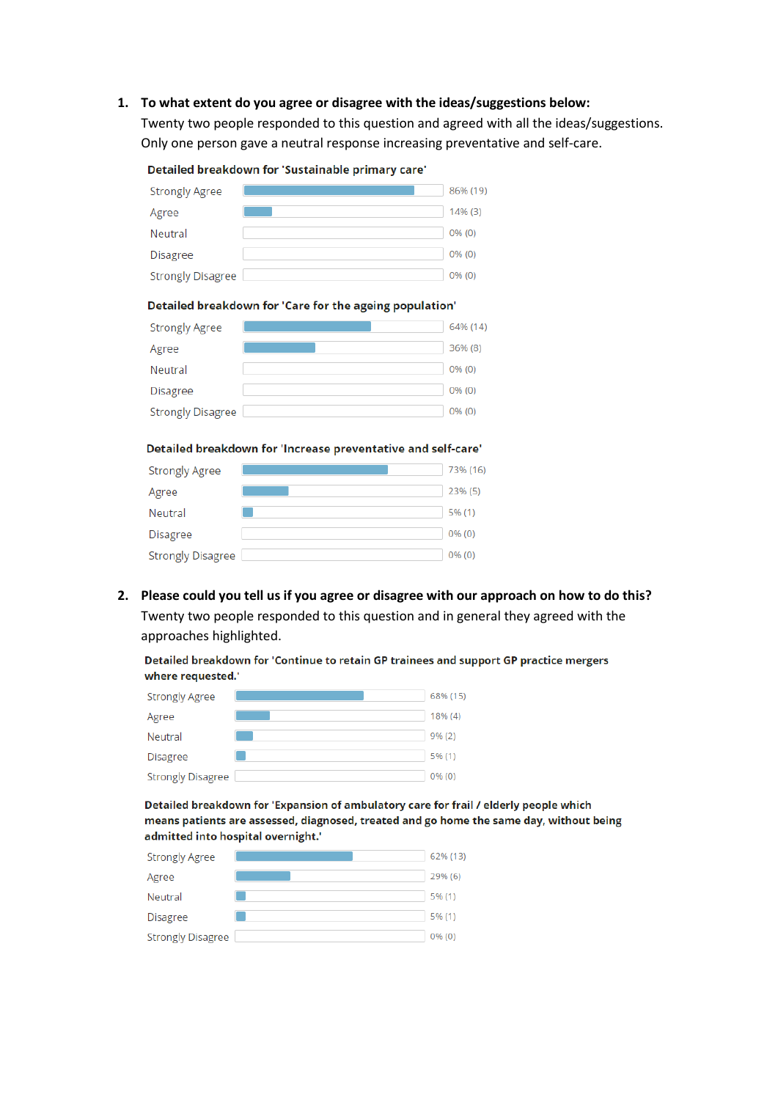#### **1. To what extent do you agree or disagree with the ideas/suggestions below:**

Twenty two people responded to this question and agreed with all the ideas/suggestions. Only one person gave a neutral response increasing preventative and self-care.

| 86% (19) |
|----------|
| 14% (3)  |
| $0%$ (0) |
| $0%$ (0) |
| $0%$ (0) |
|          |

#### Detailed breakdown for 'Sustainable primary care'

#### Detailed breakdown for 'Care for the ageing population'

| <b>Strongly Agree</b>    | 64% (14)  |
|--------------------------|-----------|
| Agree                    | 36% (8)   |
| Neutral                  | $0\%$ (0) |
| <b>Disagree</b>          | $0\%$ (0) |
| <b>Strongly Disagree</b> | $0%$ (0)  |

#### Detailed breakdown for 'Increase preventative and self-care'

| <b>Strongly Agree</b>    | 73% (16)  |
|--------------------------|-----------|
| Agree                    | 23% (5)   |
| Neutral                  | 5% (1)    |
| <b>Disagree</b>          | $0\%$ (0) |
| <b>Strongly Disagree</b> | 0% (0)    |

**2. Please could you tell us if you agree or disagree with our approach on how to do this?** Twenty two people responded to this question and in general they agreed with the approaches highlighted.

Detailed breakdown for 'Continue to retain GP trainees and support GP practice mergers where requested.'

| <b>Strongly Agree</b>    | 68% (15) |
|--------------------------|----------|
| Agree                    | 18% (4)  |
| Neutral                  | 9% (2)   |
| <b>Disagree</b>          | 5% (1)   |
| <b>Strongly Disagree</b> | 0% (0)   |

Detailed breakdown for 'Expansion of ambulatory care for frail / elderly people which means patients are assessed, diagnosed, treated and go home the same day, without being admitted into hospital overnight.'

| <b>Strongly Agree</b>    | 62% (13)  |
|--------------------------|-----------|
| Agree                    | 29% (6)   |
| Neutral                  | 5% (1)    |
| <b>Disagree</b>          | 5% (1)    |
| <b>Strongly Disagree</b> | $0\%$ (0) |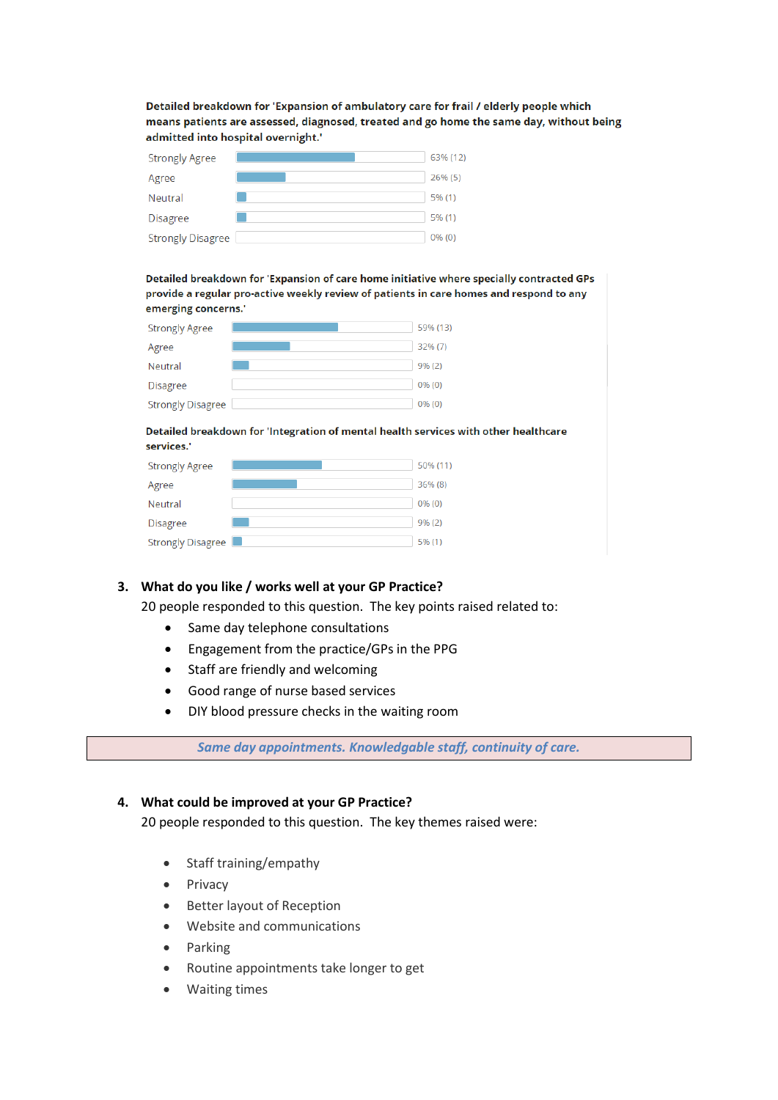Detailed breakdown for 'Expansion of ambulatory care for frail / elderly people which means patients are assessed, diagnosed, treated and go home the same day, without being admitted into hospital overnight.'

| <b>Strongly Agree</b>    | 63% (12) |
|--------------------------|----------|
| Agree                    | 26% (5)  |
| Neutral                  | 5% (1)   |
| Disagree                 | 5% (1)   |
| <b>Strongly Disagree</b> | 0% (0)   |

Detailed breakdown for 'Expansion of care home initiative where specially contracted GPs provide a regular pro-active weekly review of patients in care homes and respond to any emerging concerns.'

| <b>Strongly Agree</b>    | 59% (13) |
|--------------------------|----------|
| Agree                    | 32% (7)  |
| Neutral                  | 9% (2)   |
| <b>Disagree</b>          | $0%$ (0) |
| <b>Strongly Disagree</b> | $0%$ (0) |

#### Detailed breakdown for 'Integration of mental health services with other healthcare services."

| <b>Strongly Agree</b>    | 50% (11) |
|--------------------------|----------|
| Agree                    | 36% (8)  |
| Neutral                  | 0% (0)   |
| <b>Disagree</b>          | 9% (2)   |
| <b>Strongly Disagree</b> | 5% (1)   |

## **3. What do you like / works well at your GP Practice?**

20 people responded to this question. The key points raised related to:

- Same day telephone consultations
- Engagement from the practice/GPs in the PPG
- Staff are friendly and welcoming
- Good range of nurse based services
- DIY blood pressure checks in the waiting room

*Same day appointments. Knowledgable staff, continuity of care.*

### **4. What could be improved at your GP Practice?**

20 people responded to this question. The key themes raised were:

- Staff training/empathy
- Privacy
- Better layout of Reception
- Website and communications
- Parking
- Routine appointments take longer to get
- Waiting times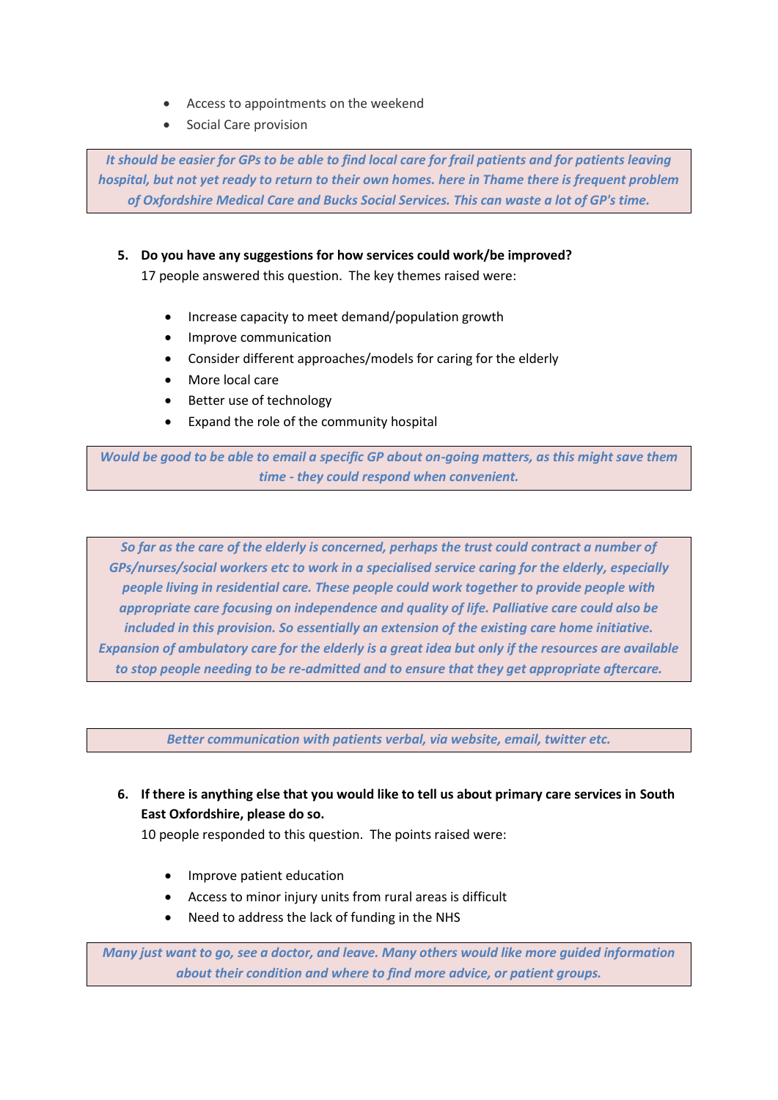- Access to appointments on the weekend
- Social Care provision

*It should be easier for GPs to be able to find local care for frail patients and for patients leaving hospital, but not yet ready to return to their own homes. here in Thame there is frequent problem of Oxfordshire Medical Care and Bucks Social Services. This can waste a lot of GP's time.*

## **5. Do you have any suggestions for how services could work/be improved?**

17 people answered this question. The key themes raised were:

- Increase capacity to meet demand/population growth
- Improve communication
- Consider different approaches/models for caring for the elderly
- More local care
- Better use of technology
- Expand the role of the community hospital

*Would be good to be able to email a specific GP about on-going matters, as this might save them time - they could respond when convenient.*

*So far as the care of the elderly is concerned, perhaps the trust could contract a number of GPs/nurses/social workers etc to work in a specialised service caring for the elderly, especially people living in residential care. These people could work together to provide people with appropriate care focusing on independence and quality of life. Palliative care could also be included in this provision. So essentially an extension of the existing care home initiative. Expansion of ambulatory care for the elderly is a great idea but only if the resources are available to stop people needing to be re-admitted and to ensure that they get appropriate aftercare.*

*Better communication with patients verbal, via website, email, twitter etc.*

**6. If there is anything else that you would like to tell us about primary care services in South East Oxfordshire, please do so.**

10 people responded to this question. The points raised were:

- Improve patient education
- Access to minor injury units from rural areas is difficult
- Need to address the lack of funding in the NHS

*Many just want to go, see a doctor, and leave. Many others would like more guided information about their condition and where to find more advice, or patient groups.*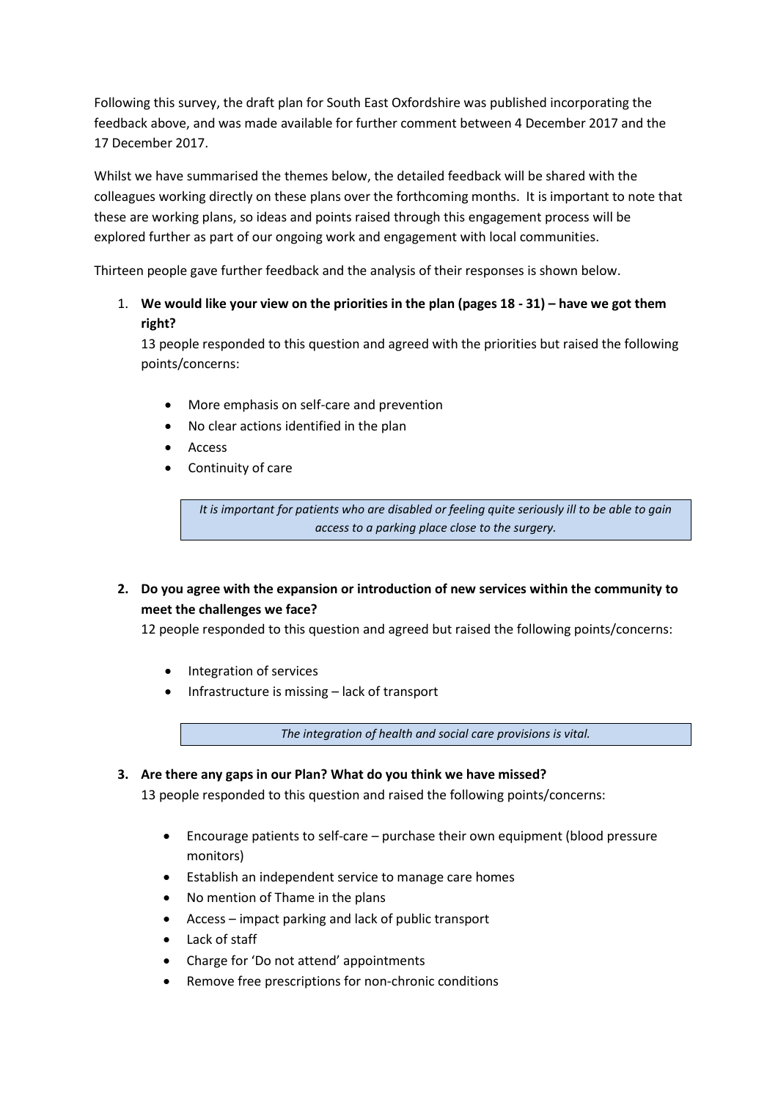Following this survey, the draft plan for South East Oxfordshire was published incorporating the feedback above, and was made available for further comment between 4 December 2017 and the 17 December 2017.

Whilst we have summarised the themes below, the detailed feedback will be shared with the colleagues working directly on these plans over the forthcoming months. It is important to note that these are working plans, so ideas and points raised through this engagement process will be explored further as part of our ongoing work and engagement with local communities.

Thirteen people gave further feedback and the analysis of their responses is shown below.

## 1. **We would like your view on the priorities in the plan (pages 18 - 31) – have we got them right?**

13 people responded to this question and agreed with the priorities but raised the following points/concerns:

- More emphasis on self-care and prevention
- No clear actions identified in the plan
- Access
- Continuity of care

*It is important for patients who are disabled or feeling quite seriously ill to be able to gain access to a parking place close to the surgery.*

## **2. Do you agree with the expansion or introduction of new services within the community to meet the challenges we face?**

12 people responded to this question and agreed but raised the following points/concerns:

- Integration of services
- Infrastructure is missing lack of transport

*The integration of health and social care provisions is vital.*

## **3. Are there any gaps in our Plan? What do you think we have missed?**

13 people responded to this question and raised the following points/concerns:

- Encourage patients to self-care purchase their own equipment (blood pressure monitors)
- Establish an independent service to manage care homes
- No mention of Thame in the plans
- Access impact parking and lack of public transport
- Lack of staff
- Charge for 'Do not attend' appointments
- Remove free prescriptions for non-chronic conditions